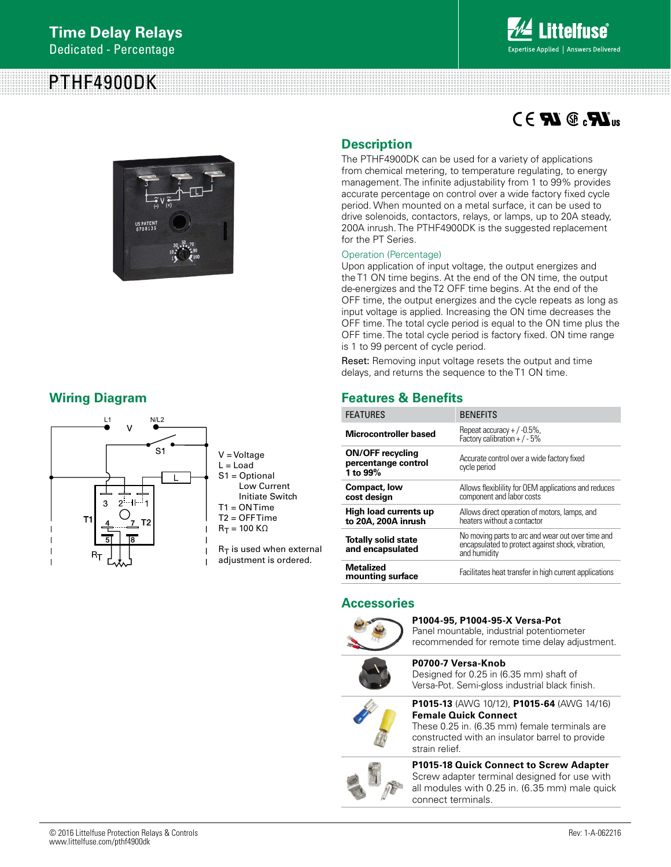# PTHF4900DK



 $\mathbb{Z}$   $\mathbb{Z}$   $\Omega$   $\mathbb{Z}$   $\mathbb{Z}$   $\Omega$ 



# **Wiring Diagram**



## **Description**

The PTHF4900DK can be used for a variety of applications from chemical metering, to temperature regulating, to energy management. The infinite adjustability from 1 to 99% provides accurate percentage on control over a wide factory fixed cycle period. When mounted on a metal surface, it can be used to drive solenoids, contactors, relays, or lamps, up to 20A steady, 200A inrush. The PTHF4900DK is the suggested replacement for the PT Series.

#### Operation (Percentage)

Upon application of input voltage, the output energizes and the T1 ON time begins. At the end of the ON time, the output de-energizes and the T2 OFF time begins. At the end of the OFF time, the output energizes and the cycle repeats as long as input voltage is applied. Increasing the ON time decreases the OFF time. The total cycle period is equal to the ON time plus the OFF time. The total cycle period is factory fixed. ON time range is 1 to 99 percent of cycle period.

Reset: Removing input voltage resets the output and time delays, and returns the sequence to the T1 ON time.

# **Features & Benefits**

| <b>FEATURES</b>                                            | <b>BENEFITS</b>                                                                                                        |
|------------------------------------------------------------|------------------------------------------------------------------------------------------------------------------------|
| Microcontroller based                                      | Repeat accuracy $+$ / -0.5%,<br>Factory calibration + $/ -5\%$                                                         |
| <b>ON/OFF recycling</b><br>percentange control<br>1 to 99% | Accurate control over a wide factory fixed<br>cycle period                                                             |
| <b>Compact, low</b><br>cost design                         | Allows flexibility for OEM applications and reduces<br>component and labor costs                                       |
| High load currents up<br>to 20A, 200A inrush               | Allows direct operation of motors, lamps, and<br>heaters without a contactor                                           |
| <b>Totally solid state</b><br>and encapsulated             | No moving parts to arc and wear out over time and<br>encapsulated to protect against shock, vibration,<br>and humidity |
| <b>Metalized</b><br>mounting surface                       | Facilitates heat transfer in high current applications                                                                 |

## **Accessories**



**P1004-95, P1004-95-X Versa-Pot**  Panel mountable, industrial potentiometer

recommended for remote time delay adjustment.



**P0700-7 Versa-Knob**  Designed for 0.25 in (6.35 mm) shaft of Versa-Pot. Semi-gloss industrial black finish.



### **P1015-13** (AWG 10/12), **P1015-64** (AWG 14/16) **Female Quick Connect**

These 0.25 in. (6.35 mm) female terminals are constructed with an insulator barrel to provide strain relief.

### **P1015-18 Quick Connect to Screw Adapter**

Screw adapter terminal designed for use with all modules with 0.25 in. (6.35 mm) male quick connect terminals.